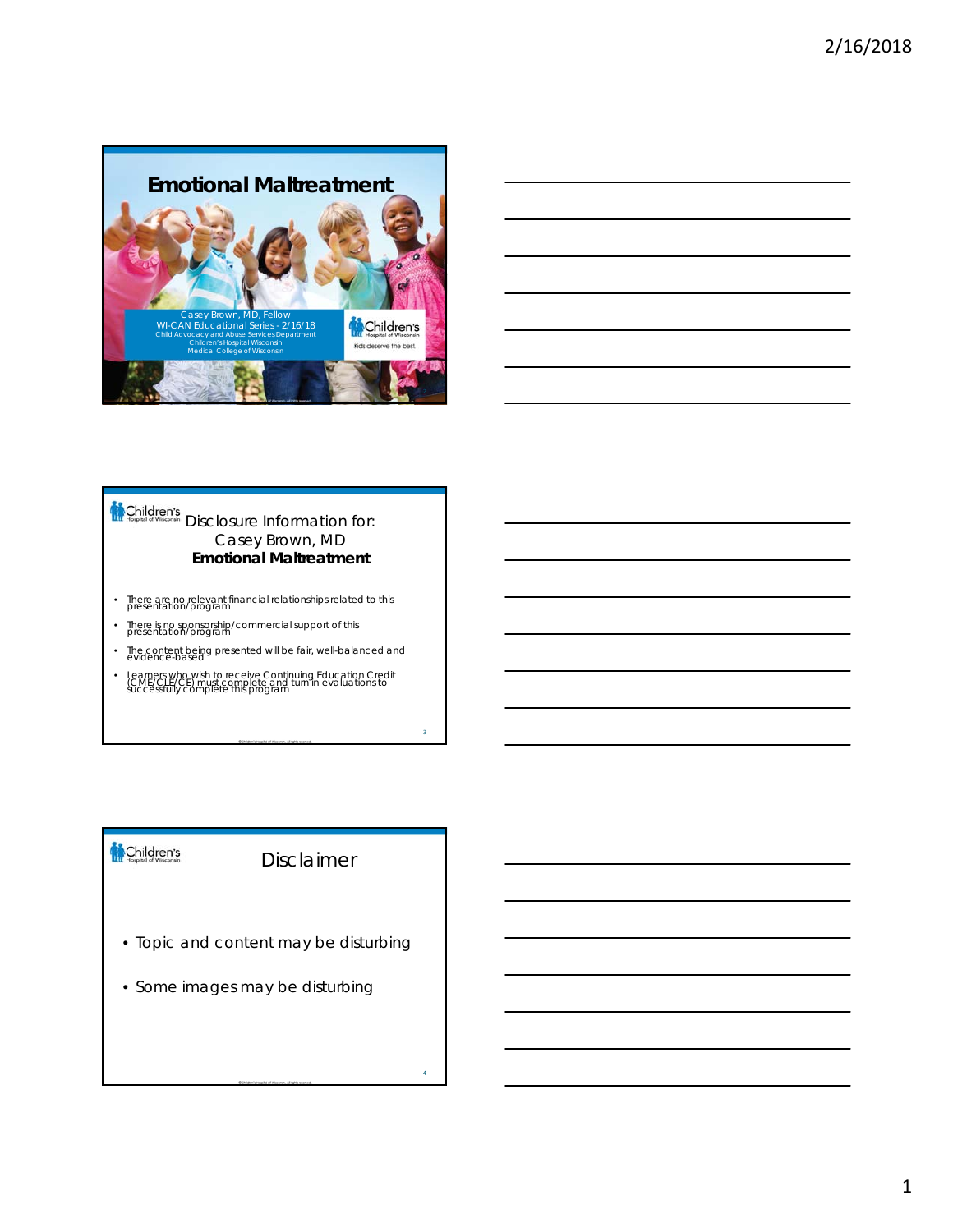

#### Children's Disclosure Information for: Casey Brown, MD **Emotional Maltreatment**

- There are no relevant financial relationships related to this presentation/program
- There is no sponsorship/commercial support of this presentation/program
- The content being presented will be fair, well-balanced and
- Learners who wish to receive Continuing Education Credit<br>COME/CLE/CE) must complete and turn in evaluations to<br>successfully complete this program

# Children's

Disclaimer

3

- Topic and content may be disturbing
- Some images may be disturbing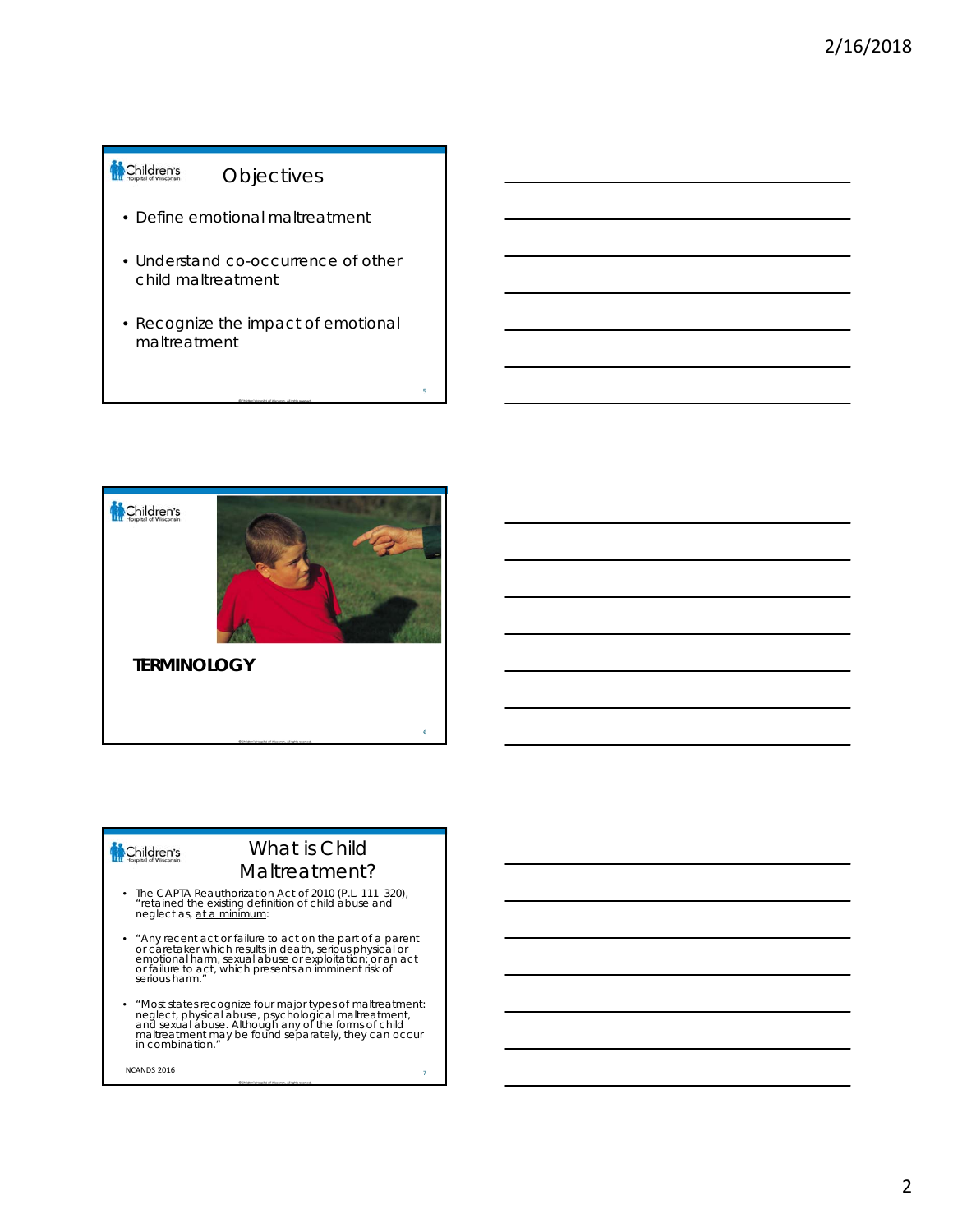#### Children's Objectives

- Define emotional maltreatment
- Understand co-occurrence of other child maltreatment
- Recognize the impact of emotional maltreatment



# Children's

# What is Child Maltreatment?

6

- The CAPTA Reauthorization Act of 2010 (P.L. 111–320),<br>"retained the existing definition of child abuse and<br>neglect as, <u>at a minimum</u>:
- \* Any recent act or failure to act on the part of a parent<br>or caretaker which results in death, serious physical or<br>emotional harm, sexual abuse or exploitation; or an act<br>or failure to act, which presents an Imminent ri *serious harm."*
- "Most states recognize four major types of maltreatment:<br>neglect, physical abuse, psychological maltreatment,<br>and sexual abuse. Although any of the forms of child<br>maltreatment may be found separately, they can occur<br>in c

**NCANDS 2016**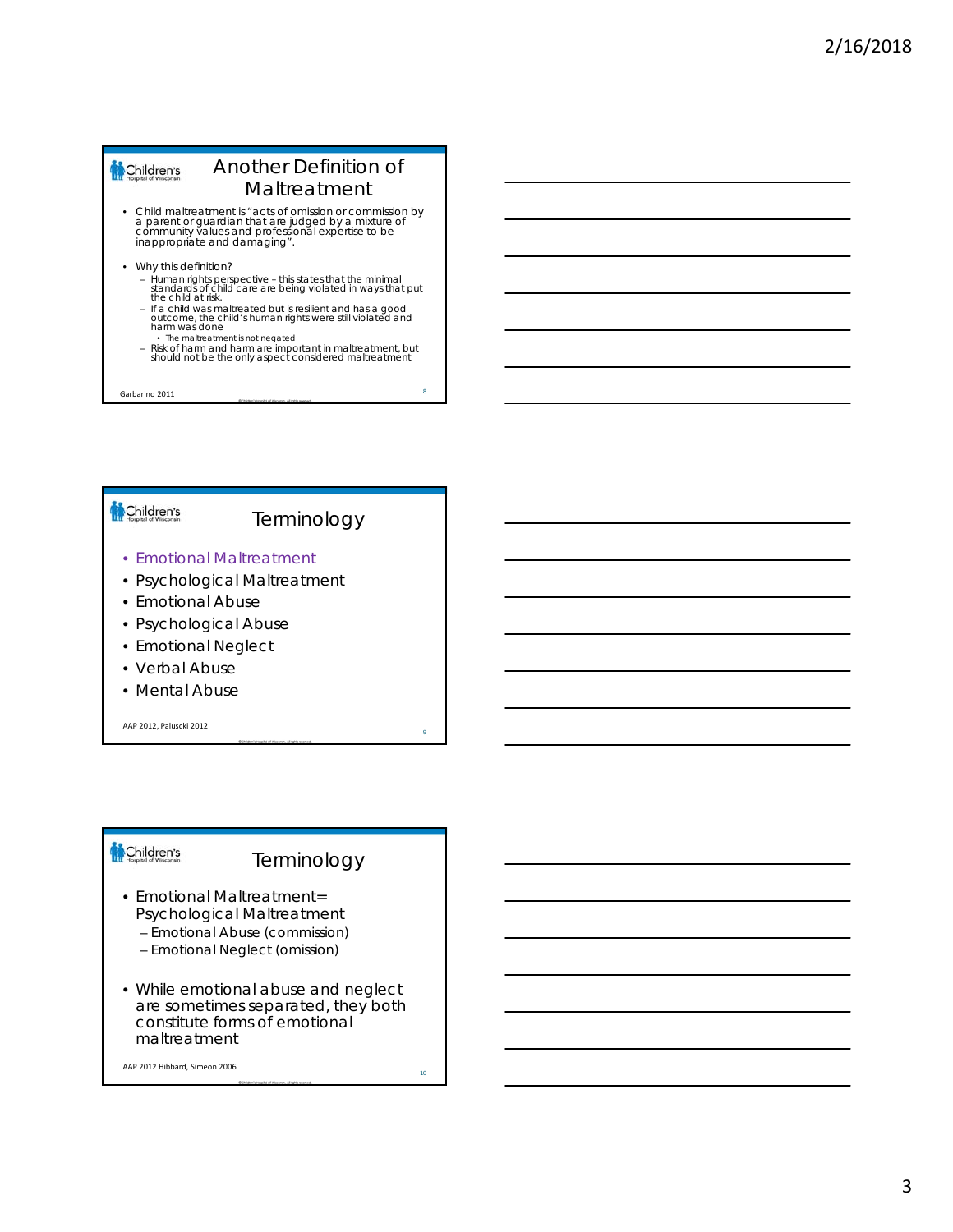#### Another Definition of Children's Maltreatment

- Child maltreatment is "acts of omission or commission by a parent or guardian that are judged by a mixture of community values and professional expertise to be inappropriate and damaging".
- Why this definition?
	- Human rights perspective this states that the minimal standards of child care are being violated in ways that put the child at risk.
	- If a child was maltreated but is resilient and has a good outcome, the child's human rights were still violated and harm was done The maltreatment is not negated
	- Risk of harm and harm are important in maltreatment, but should not be the only aspect considered maltreatment

Garbarino 2011

#### Children's

# Terminology

- Emotional Maltreatment
- Psychological Maltreatment
- Emotional Abuse
- Psychological Abuse
- Emotional Neglect
- Verbal Abuse
- Mental Abuse

AAP 2012, Paluscki 2012

#### Children's

# **Terminology**

- Emotional Maltreatment= Psychological Maltreatment
	- Emotional Abuse (commission)
	- Emotional Neglect (omission)
- While emotional abuse and neglect are sometimes separated, they both constitute forms of emotional maltreatment

AAP 2012 Hibbard, Simeon 2006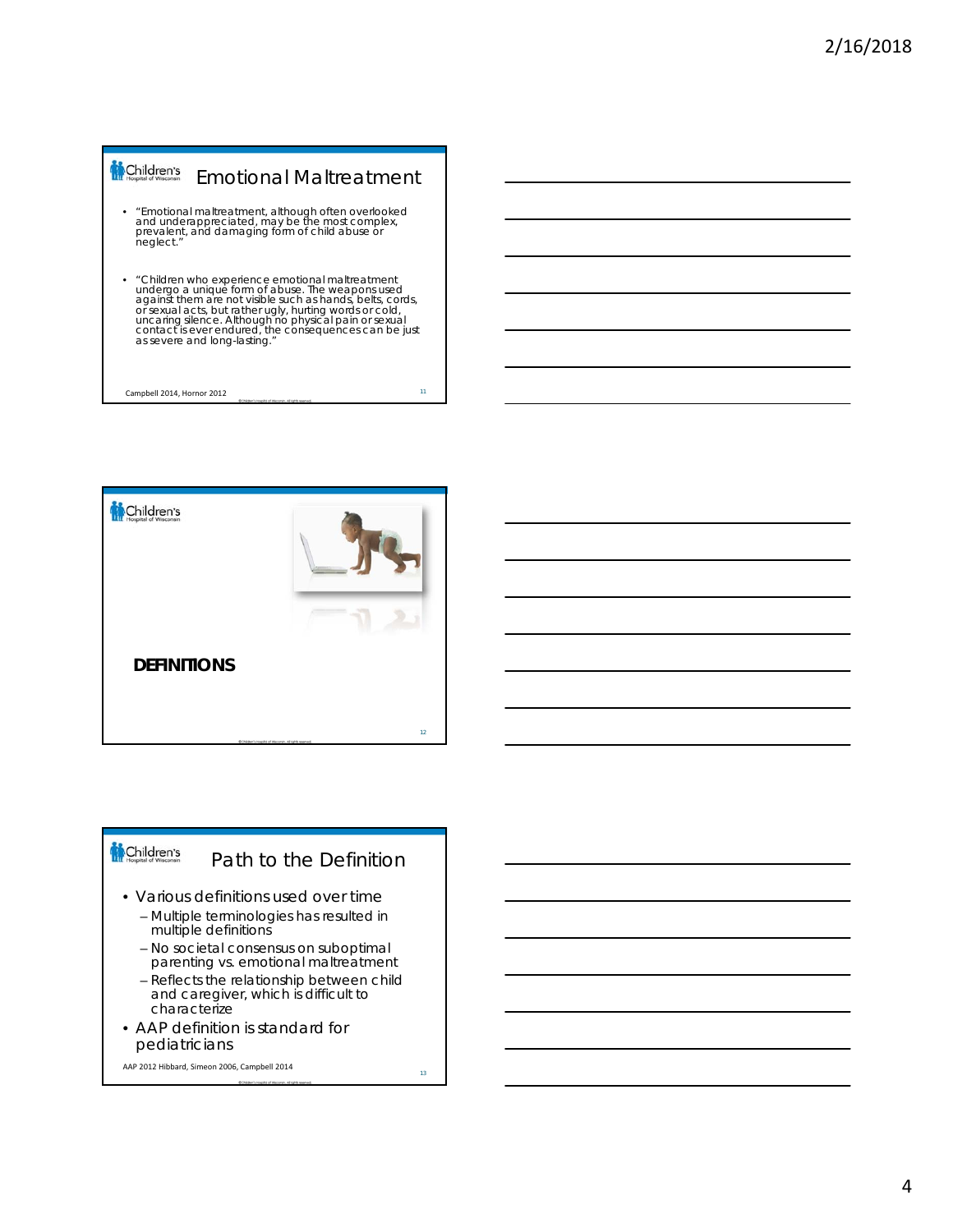# Children's Emotional Maltreatment • "Emotional maltreatment, although often overlooked and underappreciated, may be the most complex, prevalent, and damaging form of child abuse or neglect." • "Children who experience emotional maltreatment undergo a unique form of abuse. The weapons used<br>against them are not visible such as hands, belts, cords,<br>or sexual acts, but rather ugly, hurting words or cold,<br>uncaring silence. Although no physical pain or sexual<br>conta as severe and long-lasting." <sup>11</sup> Campbell 2014, Hornor 2012

![](_page_3_Picture_2.jpeg)

#### Children's Path to the Definition • Various definitions used over time – Multiple terminologies has resulted in multiple definitions – No societal consensus on suboptimal

- parenting vs. emotional maltreatment
- Reflects the relationship between child and caregiver, which is difficult to characterize
- AAP definition is standard for pediatricians

AAP 2012 Hibbard, Simeon 2006, Campbell 2014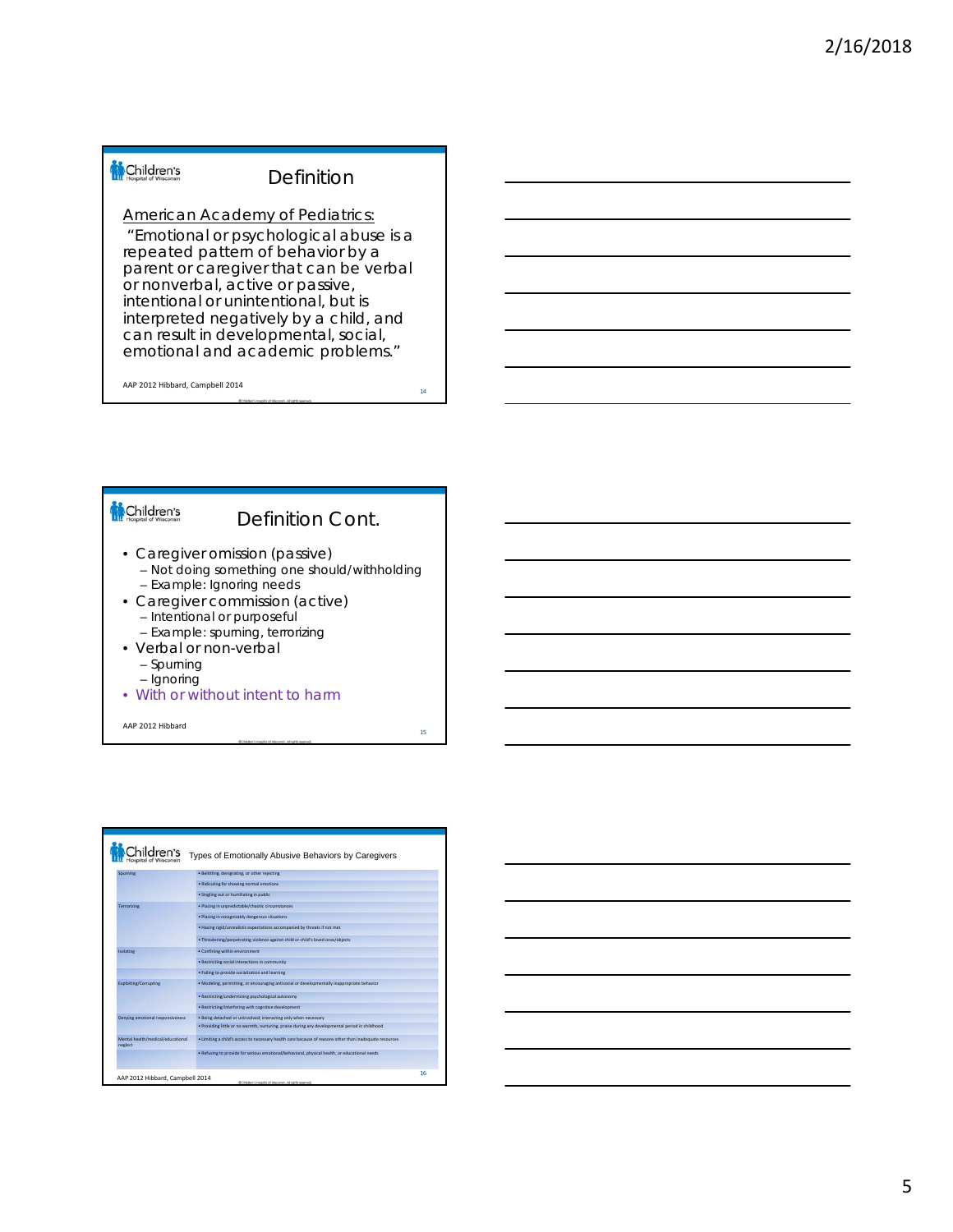#### Definition

American Academy of Pediatrics:

"Emotional or psychological abuse is a repeated pattern of behavior by a parent or caregiver that can be verbal or nonverbal, active or passive, intentional or unintentional, but is interpreted negatively by a child, and can result in developmental, social, emotional and academic problems."

AAP 2012 Hibbard, Campbell 2014

14

15

### Children's

# Definition Cont.

- Caregiver omission (passive)
	- Not doing something one should/withholding
	- Example: Ignoring needs
- Caregiver commission (active)
	- Intentional or purposeful
	- Example: spurning, terrorizing
- Verbal or non-verbal
	- Spurning – Ignoring
- With or without intent to harm

AAP 2012 Hibbard

|                                              | Types of Emotionally Abusive Behaviors by Caregivers                                                    |    |
|----------------------------------------------|---------------------------------------------------------------------------------------------------------|----|
| Sourning                                     | · Belittling, denigrating, or other relecting                                                           |    |
|                                              | · Ridiculing for showing normal emotions                                                                |    |
|                                              | · Singling out or humiliating in public                                                                 |    |
| Terrorizing                                  | · Placing in unpredictable/chaotic circumstances                                                        |    |
|                                              | · Placing in recognizably dangerous situations                                                          |    |
|                                              | . Having rigid/unrealistic expectations accompanied by threats if not met                               |    |
|                                              | . Threatening/perpetrating violence against child or child's loved ones/objects                         |    |
| Isolating                                    | · Confining within environment                                                                          |    |
|                                              | · Restricting social interactions in community                                                          |    |
|                                              | . Failing to provide socialization and learning                                                         |    |
| Exploiting/Corrupting                        | . Modeling, permitting, or encouraging antisocial or developmentally inappropriate behavior             |    |
|                                              | · Restricting/undermining psychological autonomy                                                        |    |
|                                              | · Restricting/interfering with cognitive development                                                    |    |
| Denving emotional responsiveness             | . Being detached or uninvolved: interacting only when necessary                                         |    |
|                                              | . Providing little or no warmth, nurturing, praise during any developmental period in childhood         |    |
| Mental health/medical/educational<br>neglect | . Limiting a child's access to necessary health care because of reasons other than inadequate resources |    |
|                                              | . Refusing to provide for serious emotional/behavioral, physical health, or educational needs           |    |
|                                              |                                                                                                         |    |
| AAP 2012 Hibbard, Campbell 2014              | @ Childham's Hospital of Wacoman, All rights reserved.                                                  | 16 |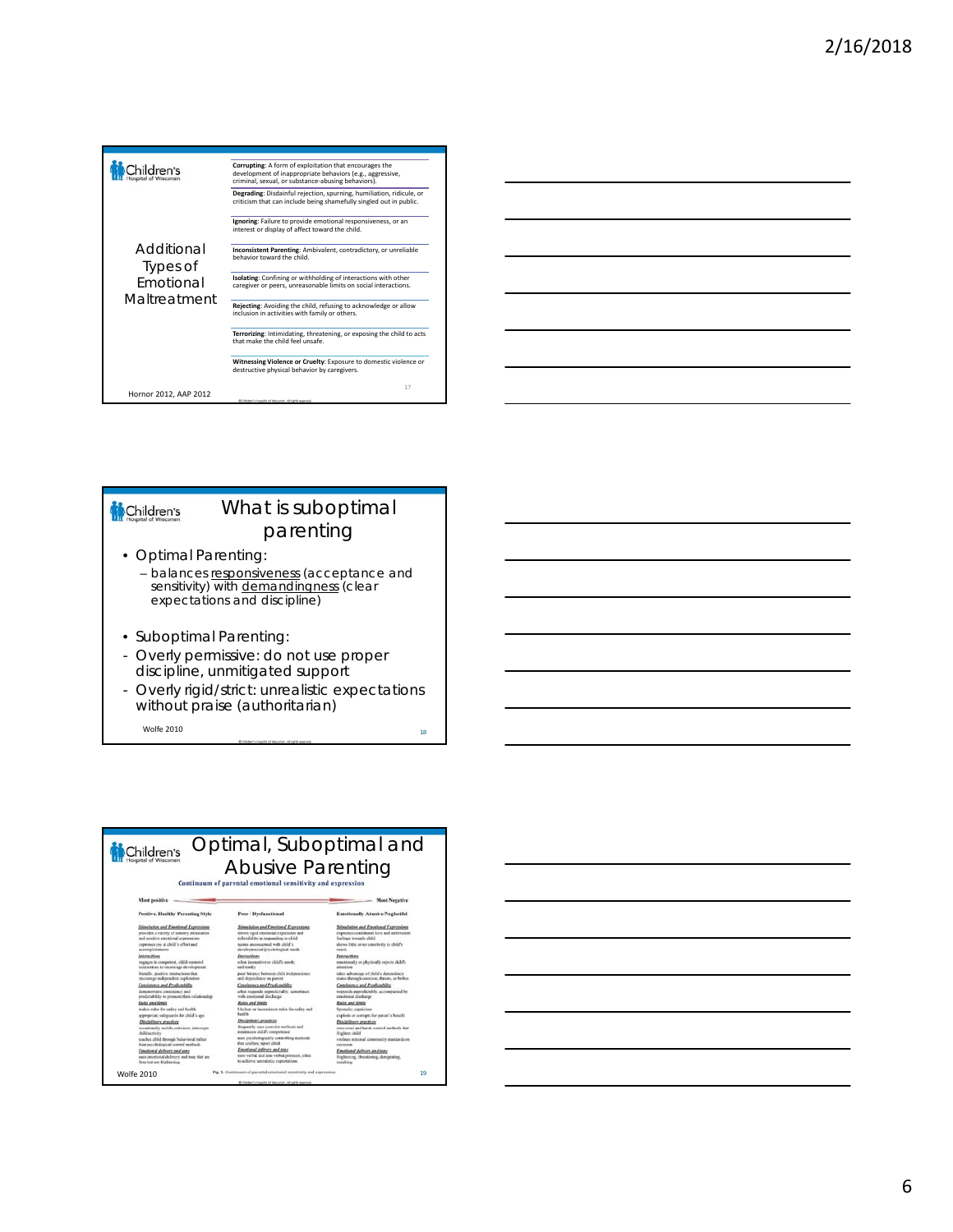![](_page_5_Figure_1.jpeg)

![](_page_5_Figure_2.jpeg)

#### What is suboptimal Children's parenting • Optimal Parenting:

- balances responsiveness (acceptance and sensitivity) with **demandingness** (clear expectations and discipline)
- Suboptimal Parenting:
- Overly permissive: do not use proper discipline, unmitigated support
- Overly rigid/strict: unrealistic expectations without praise (authoritarian)

 $\blacksquare$  2010  $\blacksquare$ 

#### Optimal, Suboptimal and Children's

 $\bigwedge_{\text{Continuum of parental}}\bigcup_{\text{Contributional sensitivity and expression}}\bigcap_{\text{Simplies}~\text{A}}$ 

| Positive, Healthy Parenting Style            | Poor / Dysfunctional                         | Emotionally Abusive/Neglectful               |
|----------------------------------------------|----------------------------------------------|----------------------------------------------|
| Stimulation and Emmissed Expressions         | Stimulation and Emotional Exercisions        | Stimulation and Emotional Expressions        |
| provides a variety of sensory stimulation    | thews rigid emotional expression and         | expresses conditional love and ambivalent    |
| and positive emotional expressions           | inflexibility in responding to child         | feelings tewards child                       |
| convence toy at child's effort and           | access processweard with child's             | shows little or no sensitivity to child's    |
| accomplisheagus                              | developmental/psychological toods            | mends                                        |
| <b>Interactions</b>                          | Interactions                                 | Enteractions                                 |
| expanse in competent, child-centered         | often insensitive to child's needs:          | emotionally or playtically rejects child's   |
| interactions to encourage development        | saffendy                                     | attention                                    |
| Iriendly, positive interactions that         | poor balance between child independence      | takes advantage of child's dependency        |
| encourage indexendent exploration            | and dependence on parent.                    | status through coorcion, throats, or bellux- |
| Consistency and Predictability               | Consistence and Predictability               | Consistency and Predictability               |
| demonstrates consistency and                 | aften responde unpredictably, sometimes      | responds unproducebly, accompanied by        |
| productability to promote their relationship | with emotional discharge                     | enotional doubarge                           |
| Rafes and limits                             | <b>Balcs and fimin</b>                       | <b>Rain and limits</b>                       |
| makes rules for sufery and health.           | Unclear or inconsistent rules for safety and | Sporadic, capricima                          |
| appropriate valignments for child's age-     | <b>Baseble</b>                               | exploits or corrupts for parent's benefit    |
| Disciplinary practices                       | Disclelleary practices                       | Disclelleary practices                       |
| occasionally soulds, criticizes, interrupts  | financials uses contrive methods and         | says great and hards control methods that    |
| child activity                               | misinizes child's competence                 | frishken child                               |
| teacher child through behavioral rather      | tous prochologically controlling methods     | violates minimal community standards on      |
| than paychological control methods           | that confuse, speet child.                   | continents.                                  |
| Emational delivery and tone                  | Emotional delivery and tone                  | Emotional delivery and tens-                 |
| uses constinual delivery and some that are   | men verbal and son-verbal pensaure, other    | frightening, threatening, denigrating,       |
| firm but not filablesing                     | to achieve unrealistic expectations          | installation.                                |

![](_page_5_Figure_12.jpeg)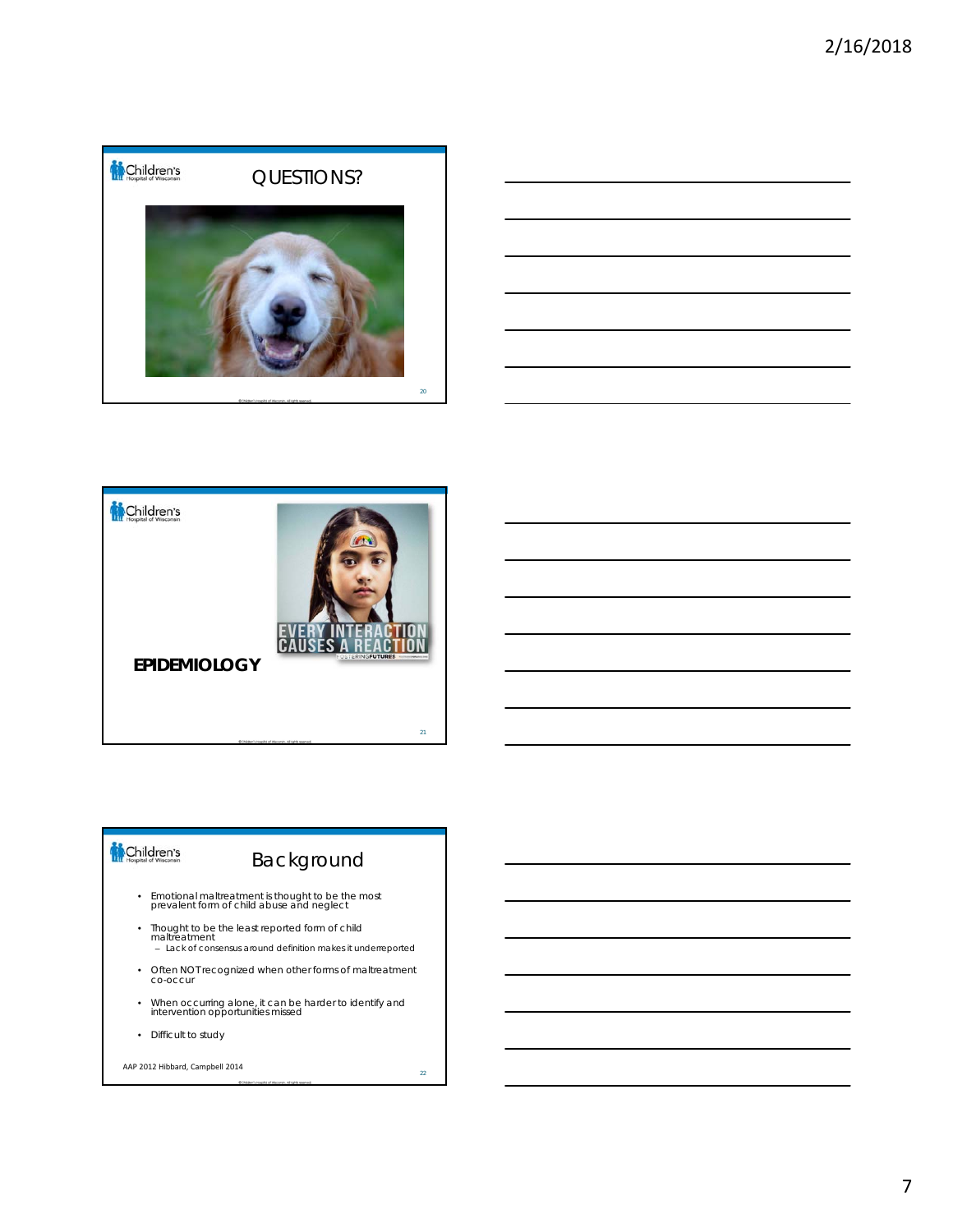![](_page_6_Picture_1.jpeg)

![](_page_6_Figure_2.jpeg)

![](_page_6_Picture_3.jpeg)

# Background

- Emotional maltreatment is thought to be the most prevalent form of child abuse and neglect
- Thought to be the least reported form of child maltreatment – Lack of consensus around definition makes it underreported
- Often NOT recognized when other forms of maltreatment co-occur
- When occurring alone, it can be harder to identify and intervention opportunities missed
- Difficult to study

#### AAP 2012 Hibbard, Campbell 2014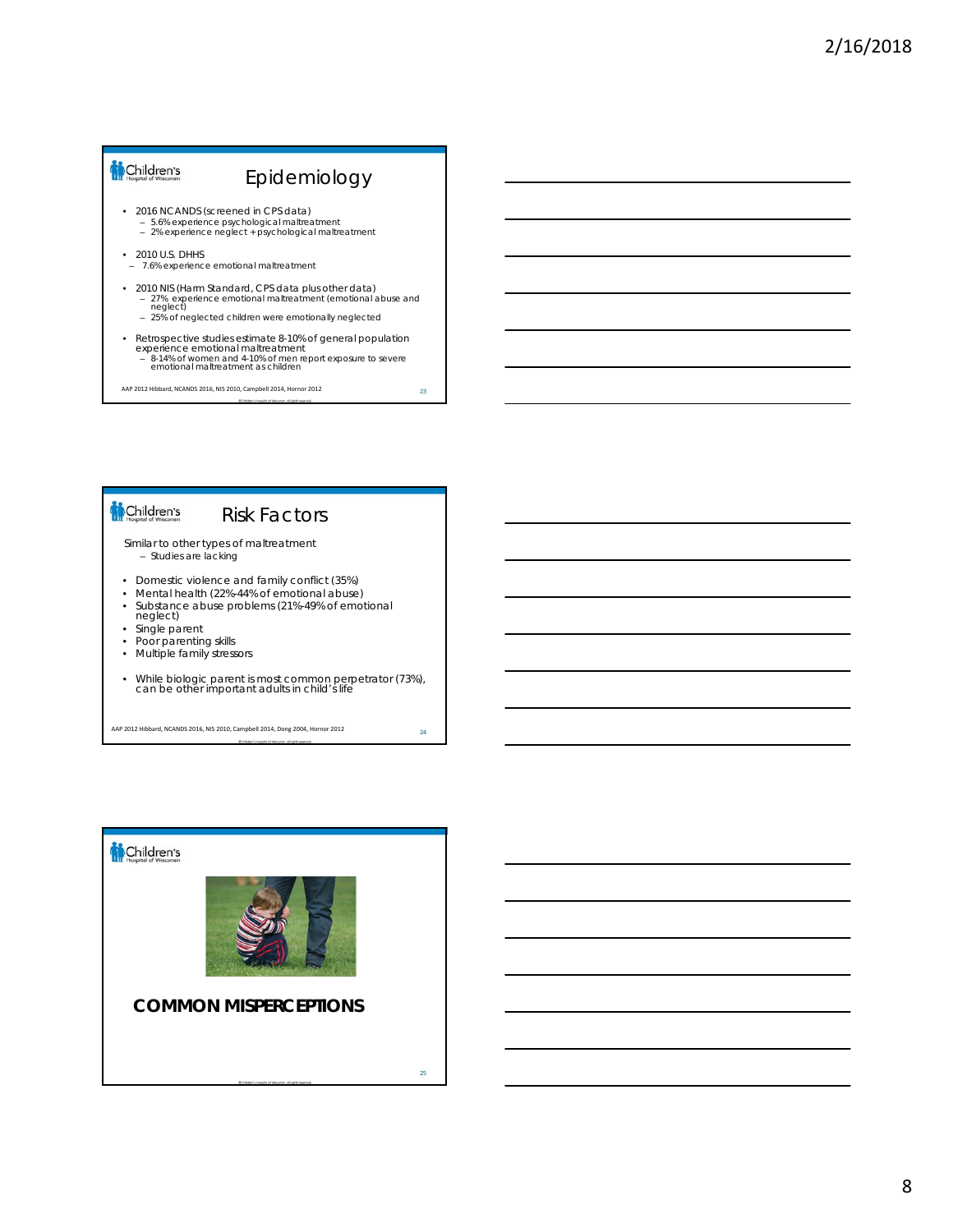# Children's Epidemiology • 2016 NCANDS (screened in CPS data) – 5.6% experience psychological maltreatment – 2% experience neglect + psychological maltreatment • 2010 U.S. DHHS – 7.6% experience emotional maltreatment • 2010 NIS (Harm Standard, CPS data plus other data) – 27% experience emotional maltreatment (emotional abuse and neglect) – 25% of neglected children were emotionally neglected • Retrospective studies estimate 8-10% of general population experience emotional maltreatment – 8-14% of women and 4-10% of men report exposure to severe emotional maltreatment as children 23 AAP 2012 Hibbard, NCANDS 2016, NIS 2010, Campbell 2014, Hornor 2012

# Children's

# Risk Factors

Similar to other types of maltreatment – Studies are lacking

- Domestic violence and family conflict (35%)
- Mental health (22%-44% of emotional abuse)
- Substance abuse problems (21%-49% of emotional neglect)
- 
- Single parent<br>• Poor parentin • Poor parenting skills
- Multiple family stressors
- While biologic parent is most common perpetrator (73%), can be other important adults in child's life

<sup>24</sup> AAP 2012 Hibbard, NCANDS 2016, NIS 2010, Campbell 2014, Dong 2004, Hornor 2012

![](_page_7_Picture_13.jpeg)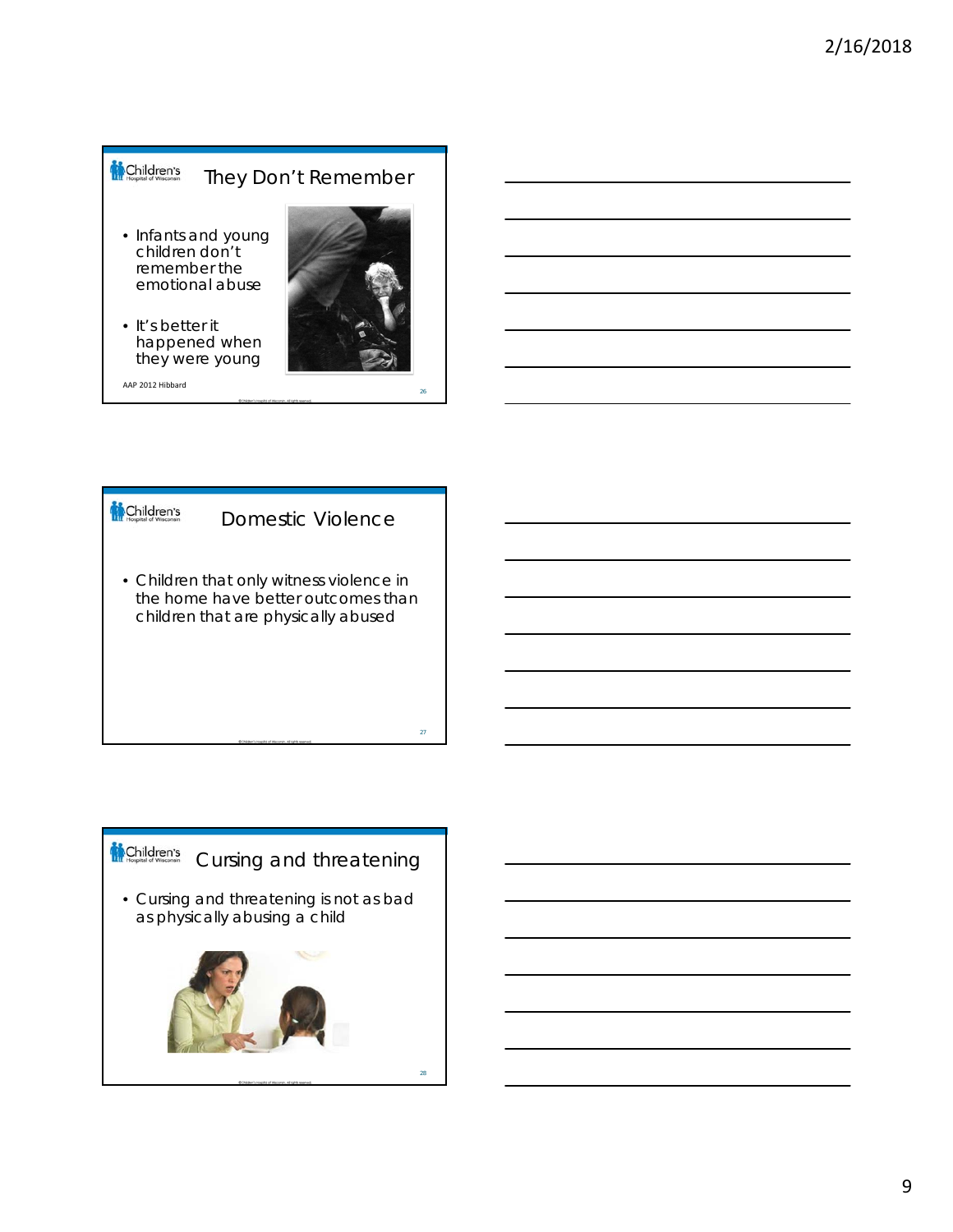#### Children's They Don't Remember

- Infants and young children don't remember the emotional abuse
- It's better it happened when they were young

AAP 2012 Hibbard

![](_page_8_Picture_5.jpeg)

![](_page_8_Figure_6.jpeg)

![](_page_8_Picture_7.jpeg)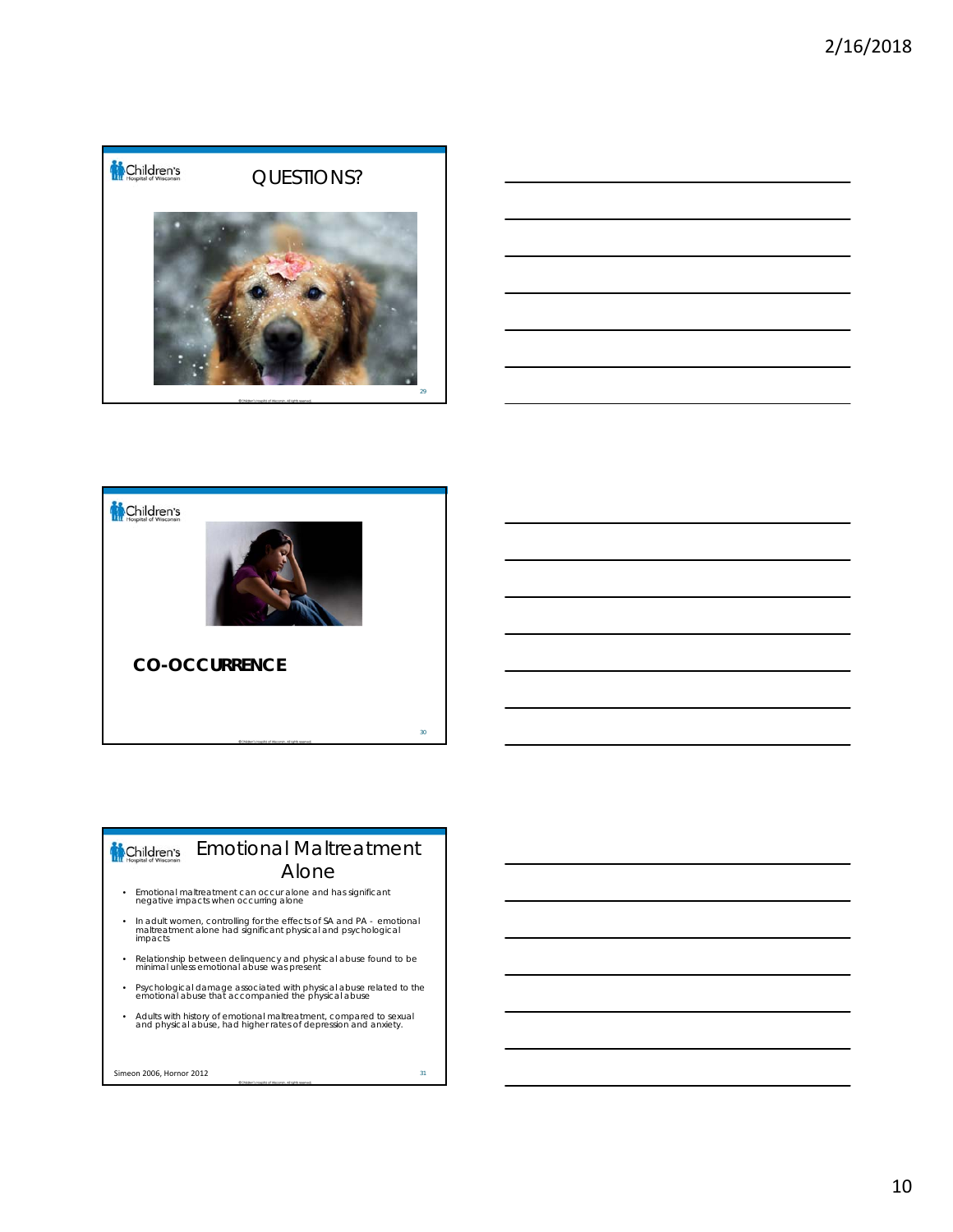![](_page_9_Picture_1.jpeg)

![](_page_9_Figure_2.jpeg)

![](_page_9_Picture_3.jpeg)

#### Emotional Maltreatment Children's Alone

- Emotional maltreatment can occur alone and has significant negative impacts when occurring alone
- In adult women, controlling for the effects of SA and PA emotional maltreatment alone had significant physical and psychological impacts
- Relationship between delinquency and physical abuse found to be minimal unless emotional abuse was present
- Psychological damage associated with physical abuse related to the emotional abuse that accompanied the physical abuse
- Adults with history of emotional maltreatment, compared to sexual and physical abuse, had higher rates of depression and anxiety.

**Simeon 2006, Hornor 2012** 31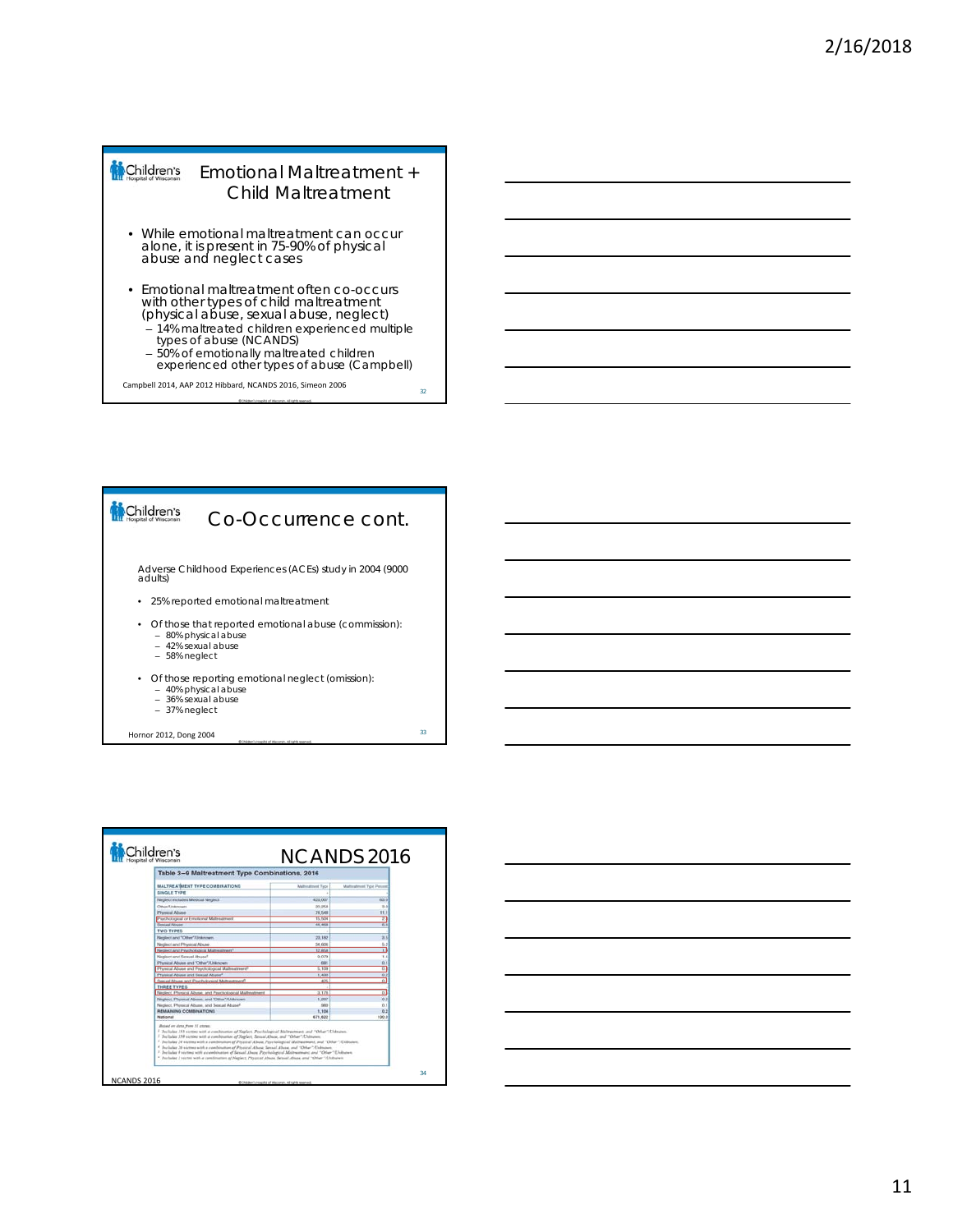#### Children's Emotional Maltreatment + Child Maltreatment

- While emotional maltreatment can occur alone, it is present in 75-90% of physical abuse and neglect cases
- Emotional maltreatment often co-occurs with other types of child maltreatment (physical abuse, sexual abuse, neglect)
	- 14% maltreated children experienced multiple types of abuse (NCANDS)
	- 50% of emotionally maltreated children experienced other types of abuse (Campbell)

32

Campbell 2014, AAP 2012 Hibbard, NCANDS 2016, Simeon 2006

![](_page_10_Figure_7.jpeg)

| Table 3-9 Maltreatment Type Combinations, 2016                                                                                                                                                                                                                                                                                                                                                                                                                                                                                                                                                                                                                                                                            |                          |                          |
|---------------------------------------------------------------------------------------------------------------------------------------------------------------------------------------------------------------------------------------------------------------------------------------------------------------------------------------------------------------------------------------------------------------------------------------------------------------------------------------------------------------------------------------------------------------------------------------------------------------------------------------------------------------------------------------------------------------------------|--------------------------|--------------------------|
|                                                                                                                                                                                                                                                                                                                                                                                                                                                                                                                                                                                                                                                                                                                           |                          |                          |
| <b>MALTREATMENT TYPE COMBINATIONS</b>                                                                                                                                                                                                                                                                                                                                                                                                                                                                                                                                                                                                                                                                                     | <b>Mathrattness Tape</b> | Malteatment Type Percent |
| SINGLE TYPE                                                                                                                                                                                                                                                                                                                                                                                                                                                                                                                                                                                                                                                                                                               |                          |                          |
| Neglect includes Medical Neglect                                                                                                                                                                                                                                                                                                                                                                                                                                                                                                                                                                                                                                                                                          | 423,007                  | 63.01                    |
| Other/Unicoant                                                                                                                                                                                                                                                                                                                                                                                                                                                                                                                                                                                                                                                                                                            | 20.258                   | 30                       |
| <b>Physical Abuse</b>                                                                                                                                                                                                                                                                                                                                                                                                                                                                                                                                                                                                                                                                                                     | 74,548                   | 11.1                     |
| Psychological or Emotional Materialment                                                                                                                                                                                                                                                                                                                                                                                                                                                                                                                                                                                                                                                                                   | 15,504                   | z.                       |
| <b>Telebuil Attuner</b>                                                                                                                                                                                                                                                                                                                                                                                                                                                                                                                                                                                                                                                                                                   | 44,4625                  | 亩                        |
| TWO TYPES                                                                                                                                                                                                                                                                                                                                                                                                                                                                                                                                                                                                                                                                                                                 |                          |                          |
| Neglect and "Other"/Linknown                                                                                                                                                                                                                                                                                                                                                                                                                                                                                                                                                                                                                                                                                              | 23,182                   | 2.5                      |
| Neglect and Physical Abuse                                                                                                                                                                                                                                                                                                                                                                                                                                                                                                                                                                                                                                                                                                | <b>54,606</b>            | 5.2                      |
| Neglect and Psychological Mathestreers <sup>4</sup>                                                                                                                                                                                                                                                                                                                                                                                                                                                                                                                                                                                                                                                                       | 12,858                   | n                        |
| Neighert and Sewaal Abused                                                                                                                                                                                                                                                                                                                                                                                                                                                                                                                                                                                                                                                                                                | 9.079                    | 14                       |
| Physical Abuse and "Other"/Unitrown                                                                                                                                                                                                                                                                                                                                                                                                                                                                                                                                                                                                                                                                                       | <b>GOT</b>               | 0.1                      |
| Physical Abuse and Psychological Mahnetment?                                                                                                                                                                                                                                                                                                                                                                                                                                                                                                                                                                                                                                                                              | 5.109                    | $\alpha$                 |
| Physical Abuse and Seasal Abuse <sup>4</sup>                                                                                                                                                                                                                                                                                                                                                                                                                                                                                                                                                                                                                                                                              | 1,430                    | 0.2                      |
| Thorizal Albume and Prochological Maltreatment?                                                                                                                                                                                                                                                                                                                                                                                                                                                                                                                                                                                                                                                                           | 425                      | $\overline{0}$           |
| THREE TYPES                                                                                                                                                                                                                                                                                                                                                                                                                                                                                                                                                                                                                                                                                                               |                          |                          |
| Neglect, Physical Abuse, and Psychological Maltreatment                                                                                                                                                                                                                                                                                                                                                                                                                                                                                                                                                                                                                                                                   | 3.176                    | D <sub>2</sub>           |
| Neglect, Physical Abuse, and "Other"/Unknown.                                                                                                                                                                                                                                                                                                                                                                                                                                                                                                                                                                                                                                                                             | 1,207                    | 0.2                      |
| Neglect, Physical Abuse, and Sexual Abuse <sup>4</sup>                                                                                                                                                                                                                                                                                                                                                                                                                                                                                                                                                                                                                                                                    | seo                      | $n +$                    |
| REMAINING COMBINATIONS<br>Matineset                                                                                                                                                                                                                                                                                                                                                                                                                                                                                                                                                                                                                                                                                       | 1,104<br>671,622         | 0.2<br>100.0             |
| Baind on data from 11 atoms.<br>7 Includes 153 victims with a combination of Newlact, Perchalogical Midrosomans, and "Other "Chilmann,<br><sup>2</sup> Includes 250 vectors with a combination of Newlect, Secural Abuse, and "Other": Unknown.<br><sup>2</sup> Includes 24 sternes with a combination of Physical About Prechalarical Malinestrant, and "Other "Chilmann,<br>1 Includes 26 victims with a combination of Physical Abuse, Sexual Abuse, and "Other"/Unbown.<br><sup>3</sup> Includes 8 victims with a cambination of Sexual Abose, Penchalogical Maltwareans, and "Other "Elidination,<br><sup>2</sup> Justador J victim with a combination of Neglect, Pleated Abuse, Sexual Abuse, and "Other"/Chibsown |                          |                          |

![](_page_10_Figure_9.jpeg)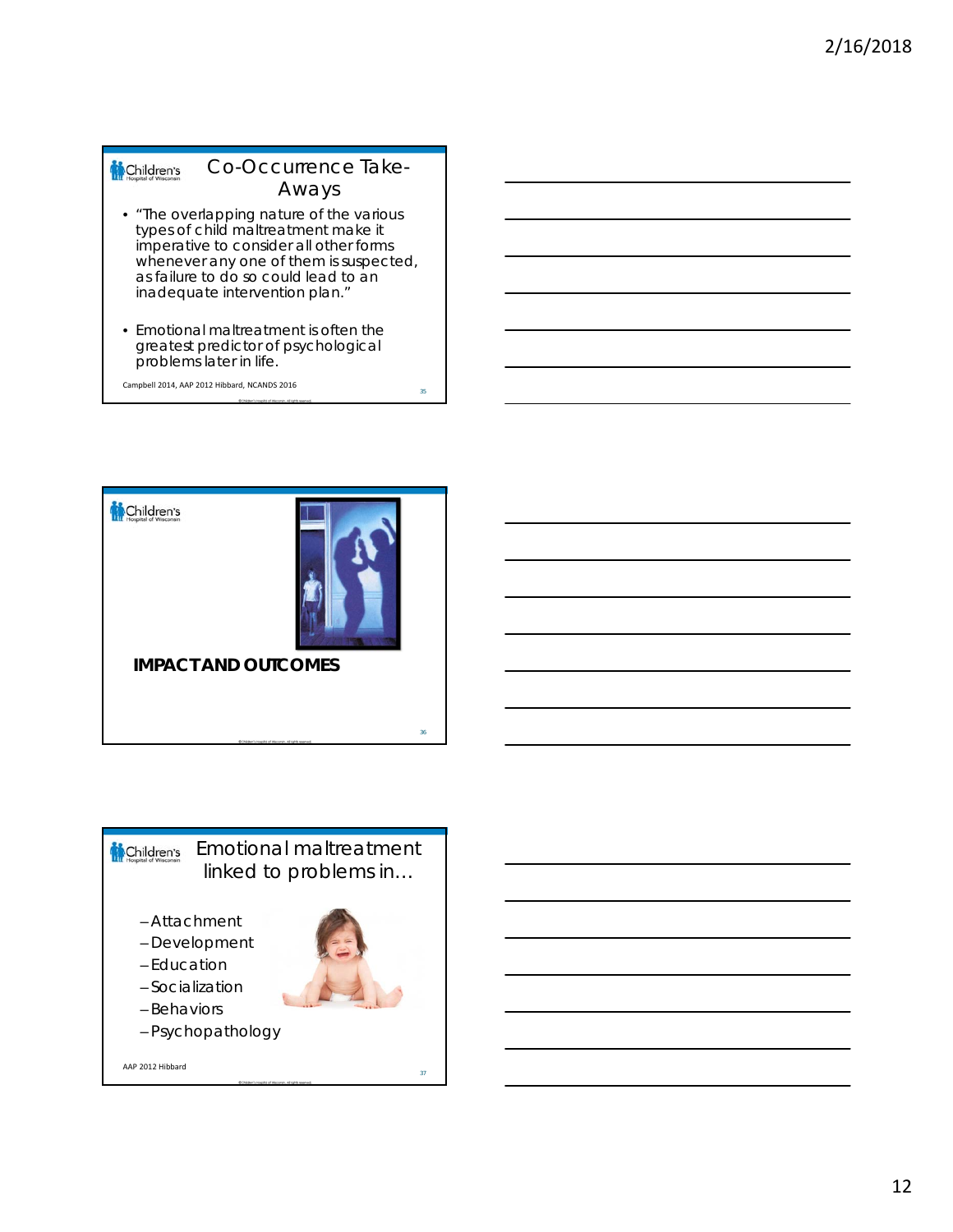#### Co-Occurrence Take-Children's Aways

- "The overlapping nature of the various types of child maltreatment make it imperative to consider all other forms whenever any one of them is suspected, as failure to do so could lead to an inadequate intervention plan."
- Emotional maltreatment is often the greatest predictor of psychological problems later in life.

35

Campbell 2014, AAP 2012 Hibbard, NCANDS 2016

![](_page_11_Picture_5.jpeg)

![](_page_11_Picture_6.jpeg)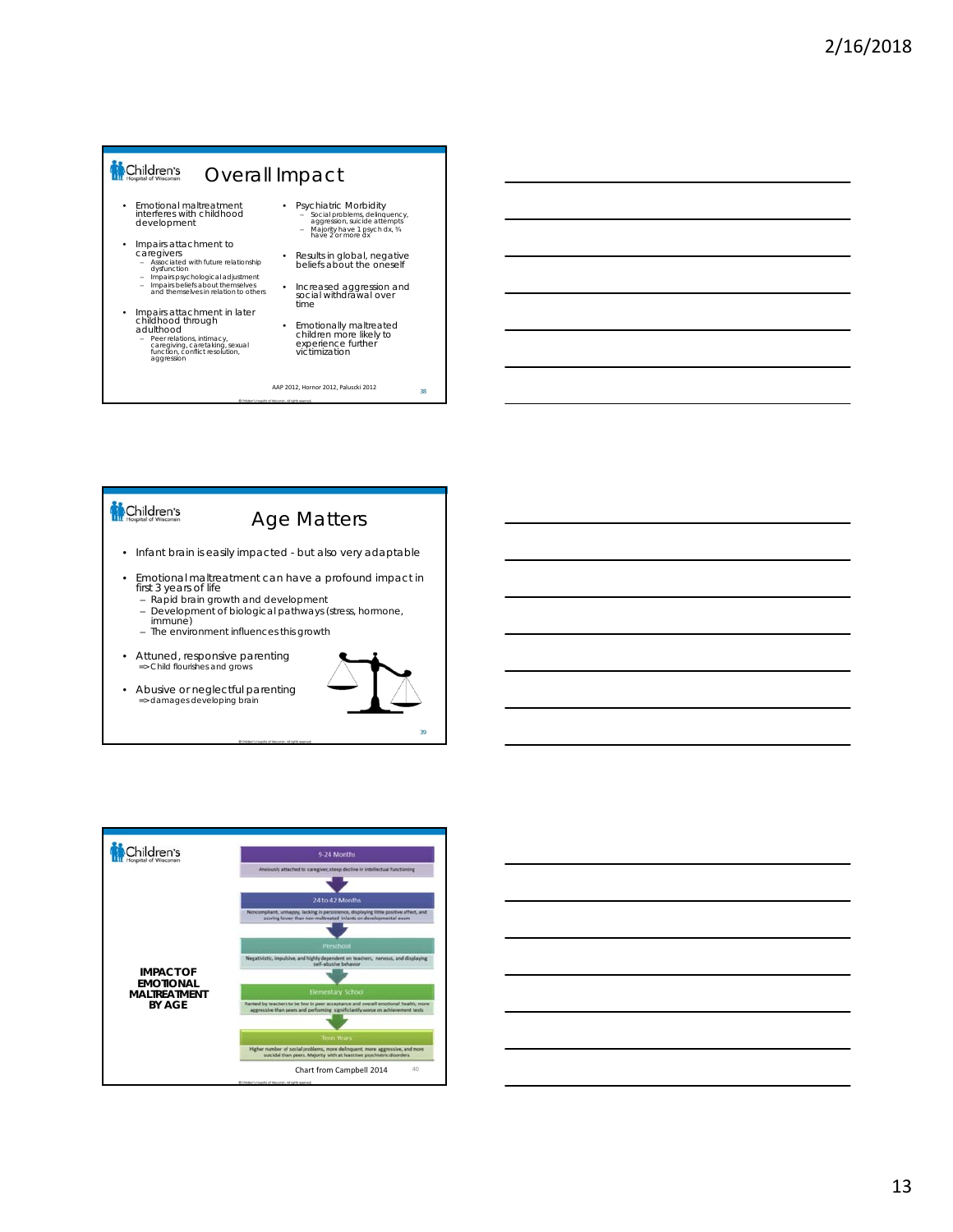#### Children's Overall Impact

- Emotional maltreatment interferes with childhood development
- Impairs attachment to<br>
caregivers<br>
 Associated with future relationship<br>
dysfunction<br>
 Impairs psychological adjustment<br>
 Impairs beliefs about themselves<br>
and themselves in relation to others<br>
otherselves in relation
	-
	-
- Impairs attachment in later childhood through adulthood
	- Peer relations, intimacy, caregiving, caretaking, sexual function, conflict resolution, aggression
- Psychiatric Morbidity – Social problems, delinquency, aggression, suicide attempts – Majority have 1 psych dx, ¾ have 2 or more dx
- Results in global, negative beliefs about the oneself
- Increased aggression and social withdrawal over time
- Emotionally maltreated children more likely to experience further victimization

<sup>38</sup> AAP 2012, Hornor 2012, Paluscki 2012

# Children's

# Age Matters

- Infant brain is easily impacted but also very adaptable
- Emotional maltreatment can have a profound impact in first 3 years of life
	- Rapid brain growth and development
	- Development of biological pathways (stress, hormone, immune)
	- The environment influences this growth
- Attuned, responsive parenting => Child flourishes and grows
- Abusive or neglectful parenting => damages developing brain

![](_page_12_Picture_22.jpeg)

![](_page_12_Figure_23.jpeg)

![](_page_12_Figure_24.jpeg)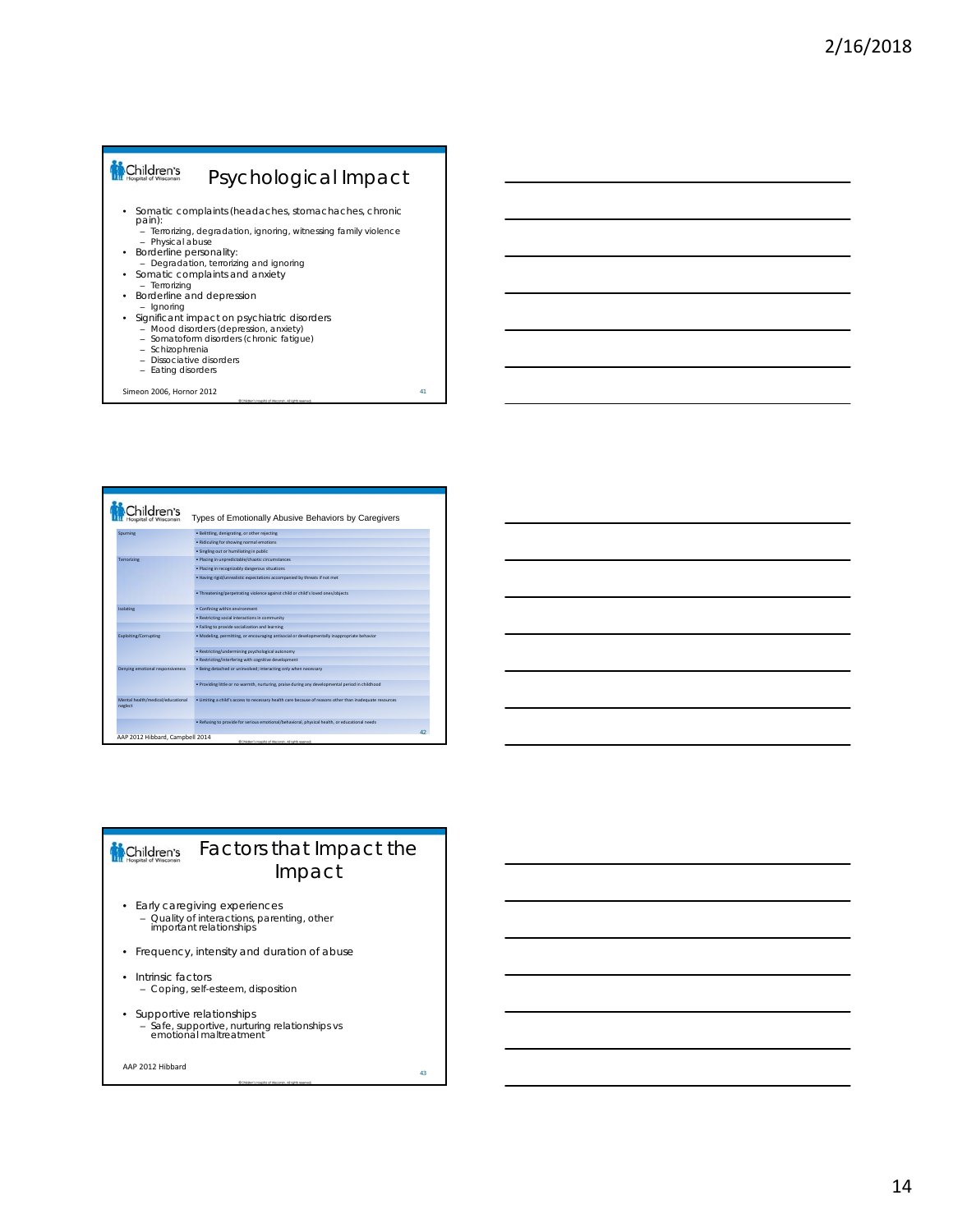# Children's Psychological Impact • Somatic complaints (headaches, stomachaches, chronic pain): – Terrorizing, degradation, ignoring, witnessing family violence – Physical abuse • Borderline personality: – Degradation, terrorizing and ignoring • Somatic complaints and anxiety – Terrorizing • Borderline and depression – Ignoring • Significant impact on psychiatric disorders – Mood disorders (depression, anxiety) – Somatoform disorders (chronic fatigue) – Schizophrenia

– Dissociative disorders – Eating disorders

Simeon 2006, Hornor 2012 41

| "hildren's                                   | Types of Emotionally Abusive Behaviors by Caregivers                                                    |  |
|----------------------------------------------|---------------------------------------------------------------------------------------------------------|--|
| Sourning                                     | · Belittling, denigrating, or other rejecting                                                           |  |
|                                              | · Ridiculing for showing normal emotions                                                                |  |
|                                              | · Singling out or humiliating in public                                                                 |  |
| Terrorizing                                  | · Placing in unpredictable/chaotic circumstances                                                        |  |
|                                              | · Placing in recognizably dangerous situations                                                          |  |
|                                              | . Having rigid/unrealistic expectations accompanied by threats if not met                               |  |
|                                              | . Threatening/perpetrating violence against child or child's loved ones/objects                         |  |
| Isolating                                    | . Confining within environment                                                                          |  |
|                                              | · Restricting social interactions in community                                                          |  |
|                                              | . Failing to provide socialization and learning                                                         |  |
| <b>Exploiting/Corrupting</b>                 | . Modeling, permitting, or encouraging antisocial or developmentally inappropriate behavior             |  |
|                                              | · Restricting/undermining psychological autonomy                                                        |  |
|                                              | · Restricting/interfering with cognitive development                                                    |  |
| Derwing emotional responsiveness             | . Being detached or uninvolved: interacting only when necessary                                         |  |
|                                              | . Providing little or no warmth, nurturing, praise during any developmental period in childhood         |  |
| Mental health/medical/educational<br>neglect | . Limiting a child's access to necessary health care because of reasons other than inadequate resources |  |
|                                              | . Refusing to provide for serious emotional/behavioral, physical health, or educational needs           |  |

#### Factors that Impact the Children's Impact

- Early caregiving experiences – Quality of interactions, parenting, other important relationships
- Frequency, intensity and duration of abuse
- Intrinsic factors – Coping, self-esteem, disposition
- Supportive relationships – Safe, supportive, nurturing relationships vs emotional maltreatment

```
AAP 2012 Hibbard
```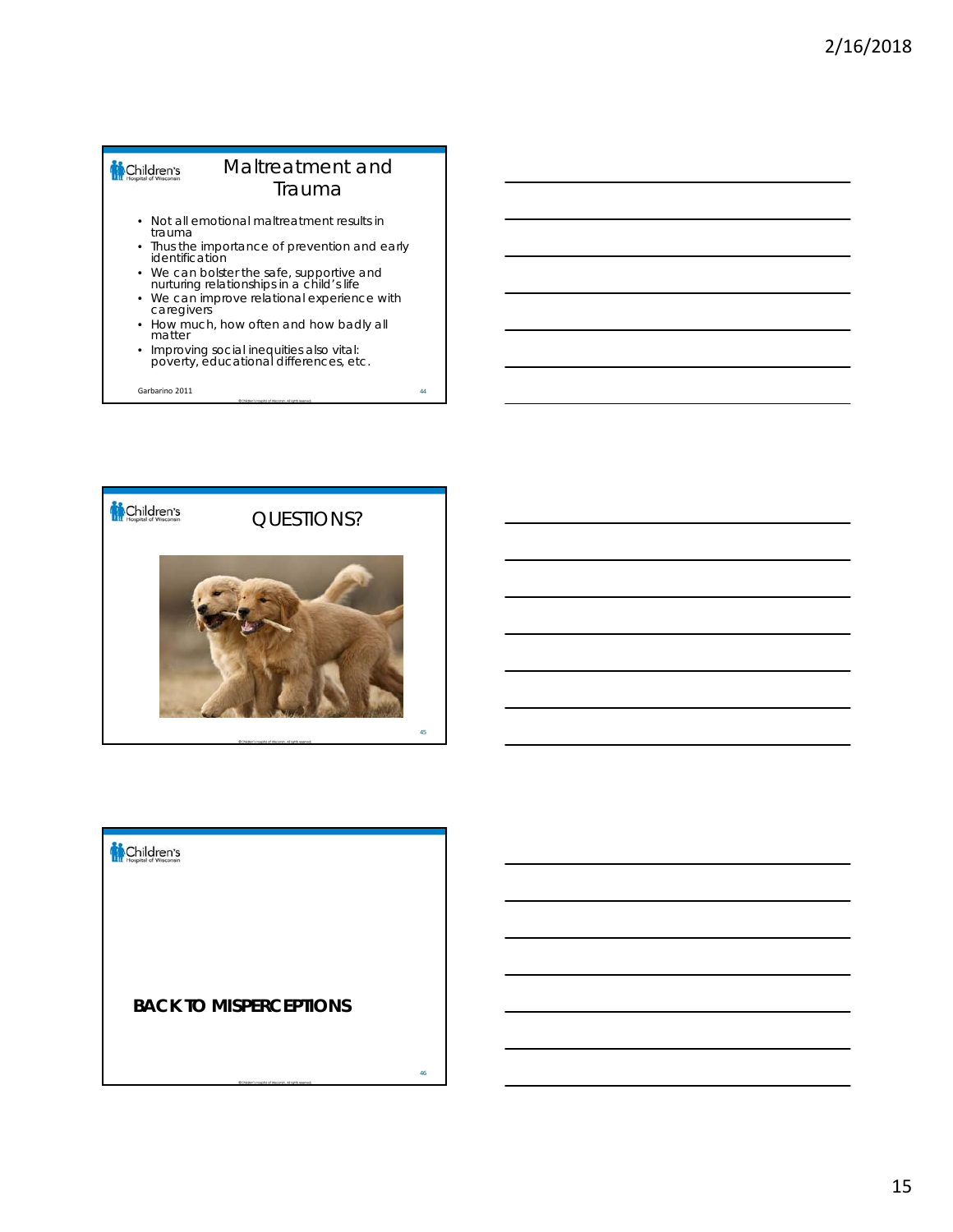#### Children's Maltreatment and Trauma • Not all emotional maltreatment results in

- trauma • Thus the importance of prevention and early
- identification • We can bolster the safe, supportive and nurturing relationships in a child's life
- We can improve relational experience with caregivers
- How much, how often and how badly all matter
- Improving social inequities also vital: poverty, educational differences, etc.

Garbarino 2011 44

![](_page_14_Picture_8.jpeg)

![](_page_14_Picture_9.jpeg)

### **BACK TO MISPERCEPTIONS**

46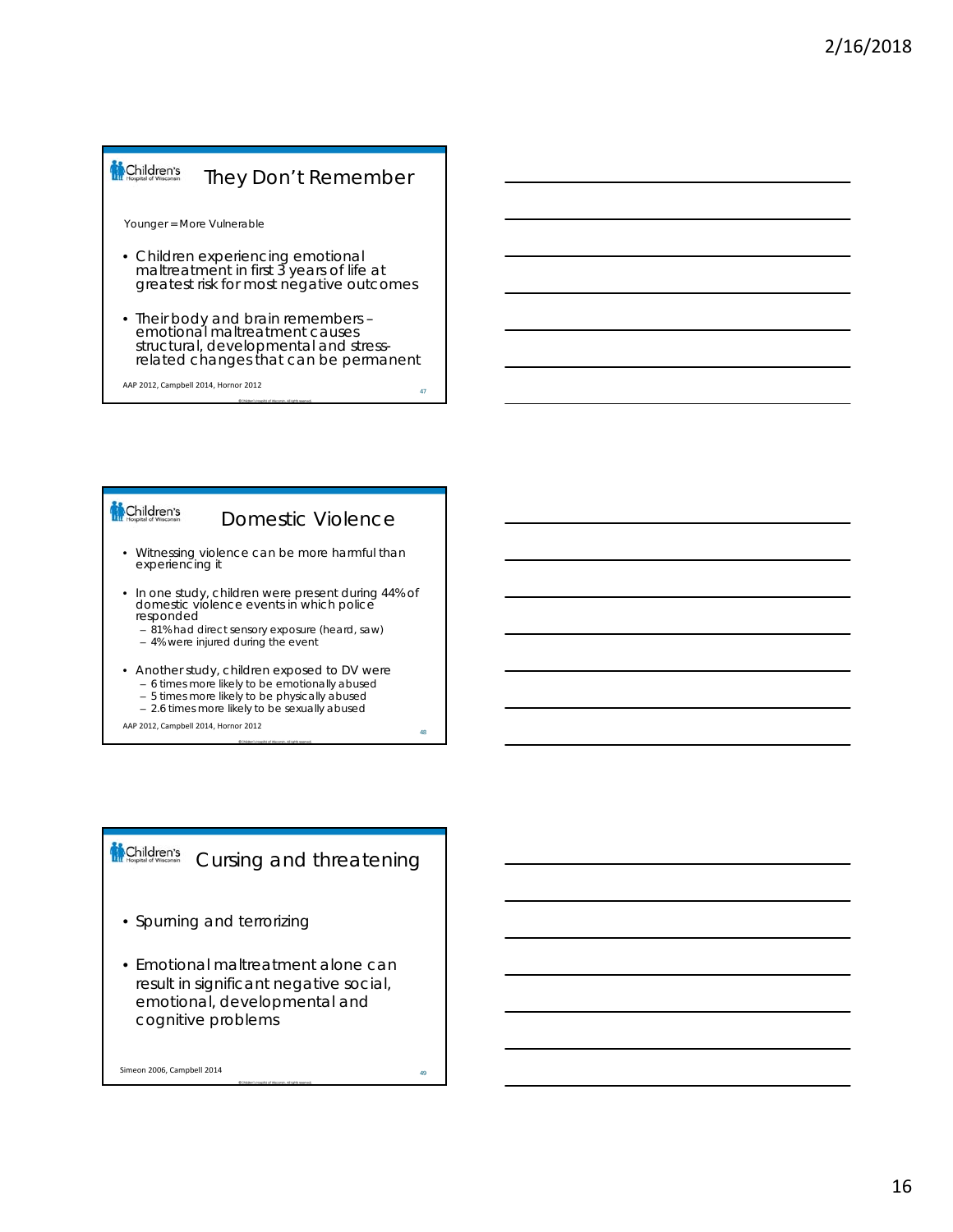#### Children's They Don't Remember

Younger = More Vulnerable

- Children experiencing emotional maltreatment in first 3 years of life at greatest risk for most negative outcomes
- Their body and brain remembers emotional maltreatment causes structural, developmental and stressrelated changes that can be permanent

AAP 2012, Campbell 2014, Hornor 2012

#### Children's

Domestic Violence

- Witnessing violence can be more harmful than experiencing it
- In one study, children were present during 44% of domestic violence events in which police responded
	- 81% had direct sensory exposure (heard, saw)
	- 4% were injured during the event
- Another study, children exposed to DV were
	- 6 times more likely to be emotionally abused – 5 times more likely to be physically abused
	- 2.6 times more likely to be sexually abused
- AAP 2012, Campbell 2014, Hornor 2012

#### Children's Cursing and threatening

- Spurning and terrorizing
- Emotional maltreatment alone can result in significant negative social, emotional, developmental and cognitive problems

Simeon 2006, Campbell 2014

47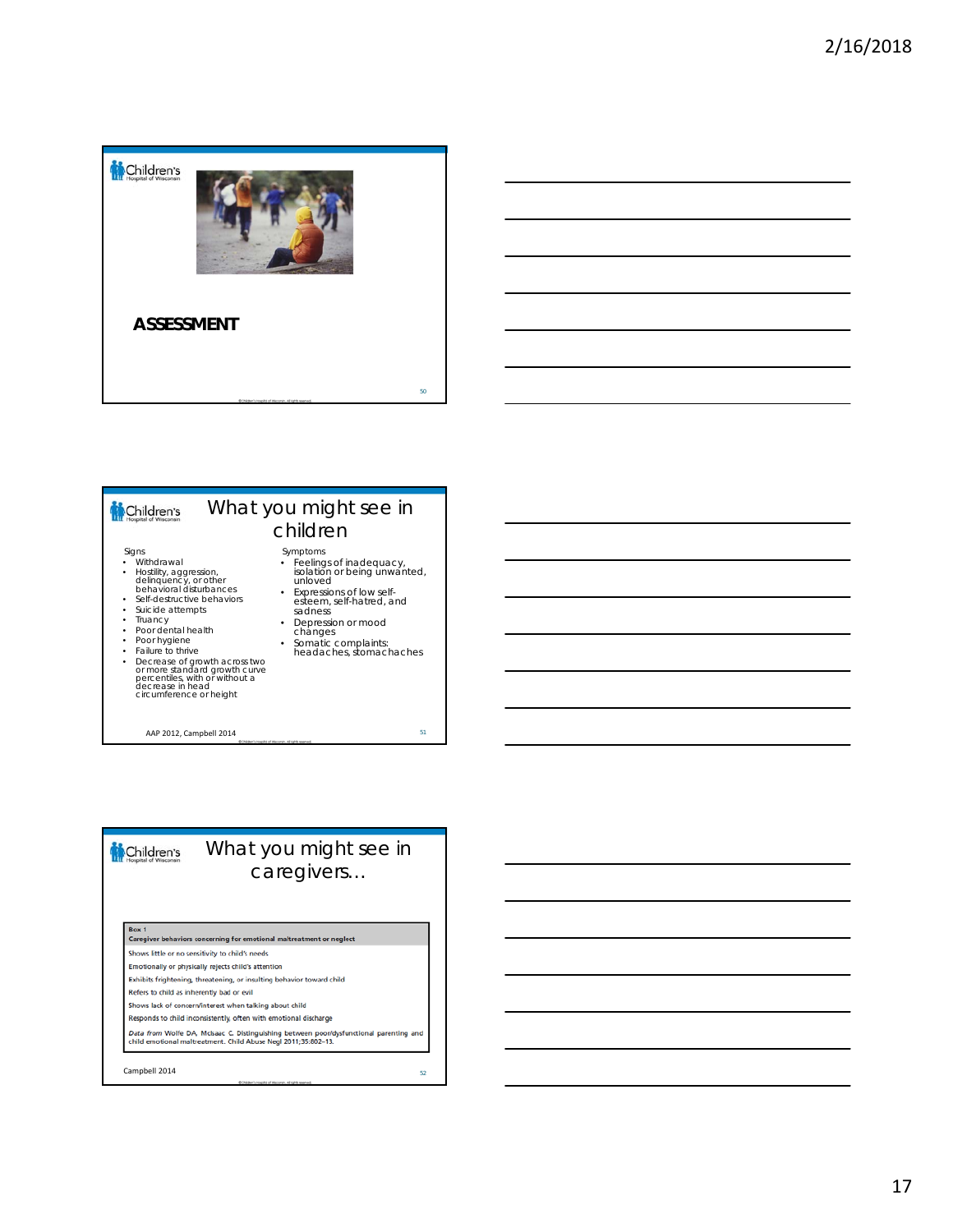![](_page_16_Picture_1.jpeg)

![](_page_16_Figure_2.jpeg)

• Failure to thrive • Decrease of growth across two or more standard growth curve percentiles, with or without a decrease in head circumference or height

AAP 2012, Campbell 2014 51

![](_page_16_Figure_5.jpeg)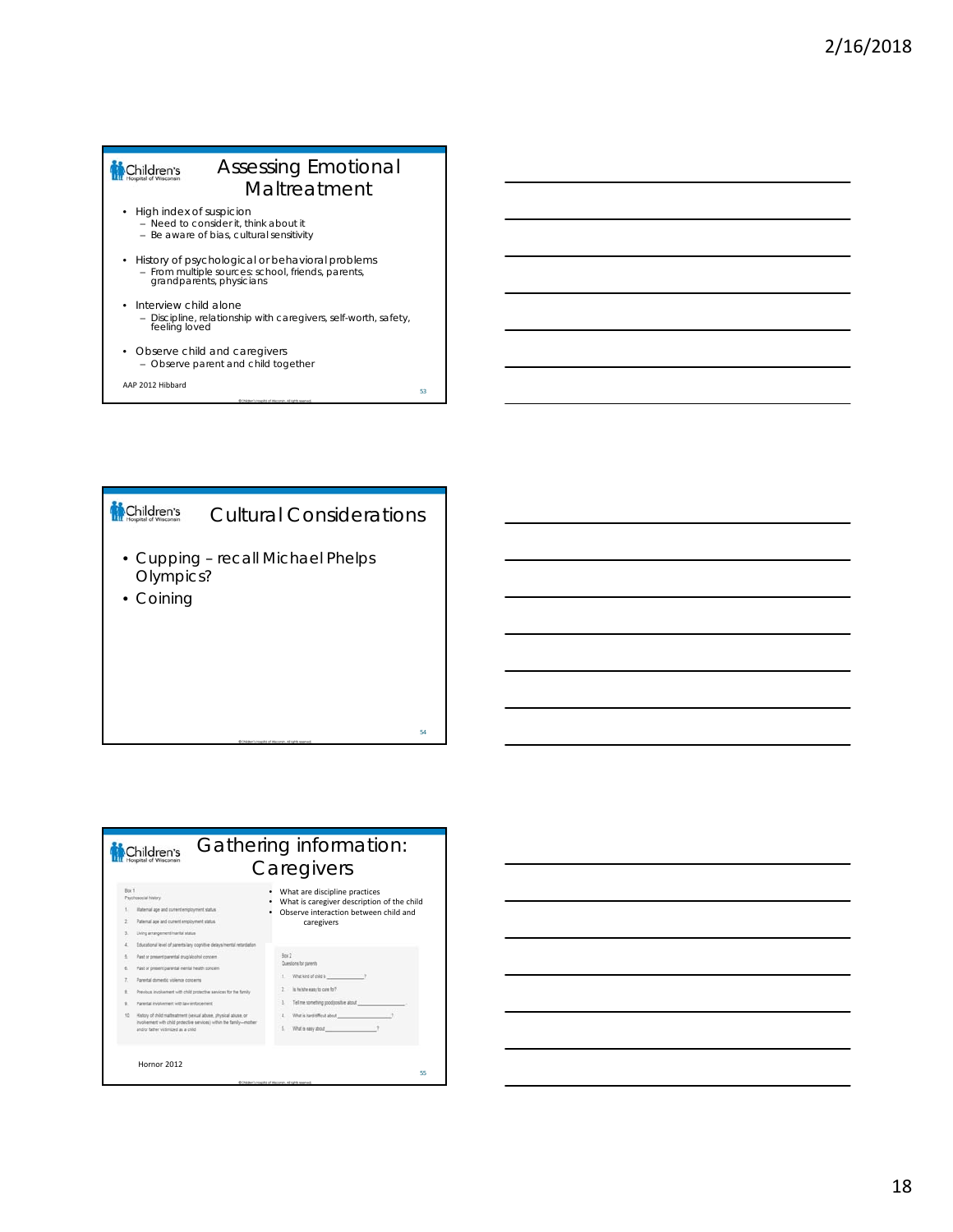# Assessing Emotional Children's Maltreatment • High index of suspicion – Need to consider it, think about it – Be aware of bias, cultural sensitivity • History of psychological or behavioral problems – From multiple sources: school, friends, parents, grandparents, physicians • Interview child alone

- Discipline, relationship with caregivers, self-worth, safety, feeling loved
- Observe child and caregivers – Observe parent and child together

AAP 2012 Hibbard

# Children's Cultural Considerations • Cupping – recall Michael Phelps Olympics?

• Coining

53

54

#### Gathering information: Children's **Caregivers** Box 1<br>Psychosocial history • What are discipline practices • What is caregiver description of the child • Observe interaction between child and Material age and current  $\mathcal{C}$ Paternal age and current employment status  $\bar{z}$ caregiversLing aring Educational level of parents lary cop Box 2<br>Questions for parents Past or present parental drug aloo Past or present parental mental health spnoem 1. What kind of child is Parental domestic violence concerns  $2 -$  is helder easy to care for? Previous involvement with child protective services for the family  $1$  . Tel me something pool  $\label{eq:3} \hat{\mathbf{x}} = \text{Parents} is a lower with \text{ is either event}.$ Hatory of child mathrest mercial above, physical above, or involvement with child protective services) within the family-relation and or within the family-relation  $4. What is heffed about$ 5. What's easy about Hornor 2012 55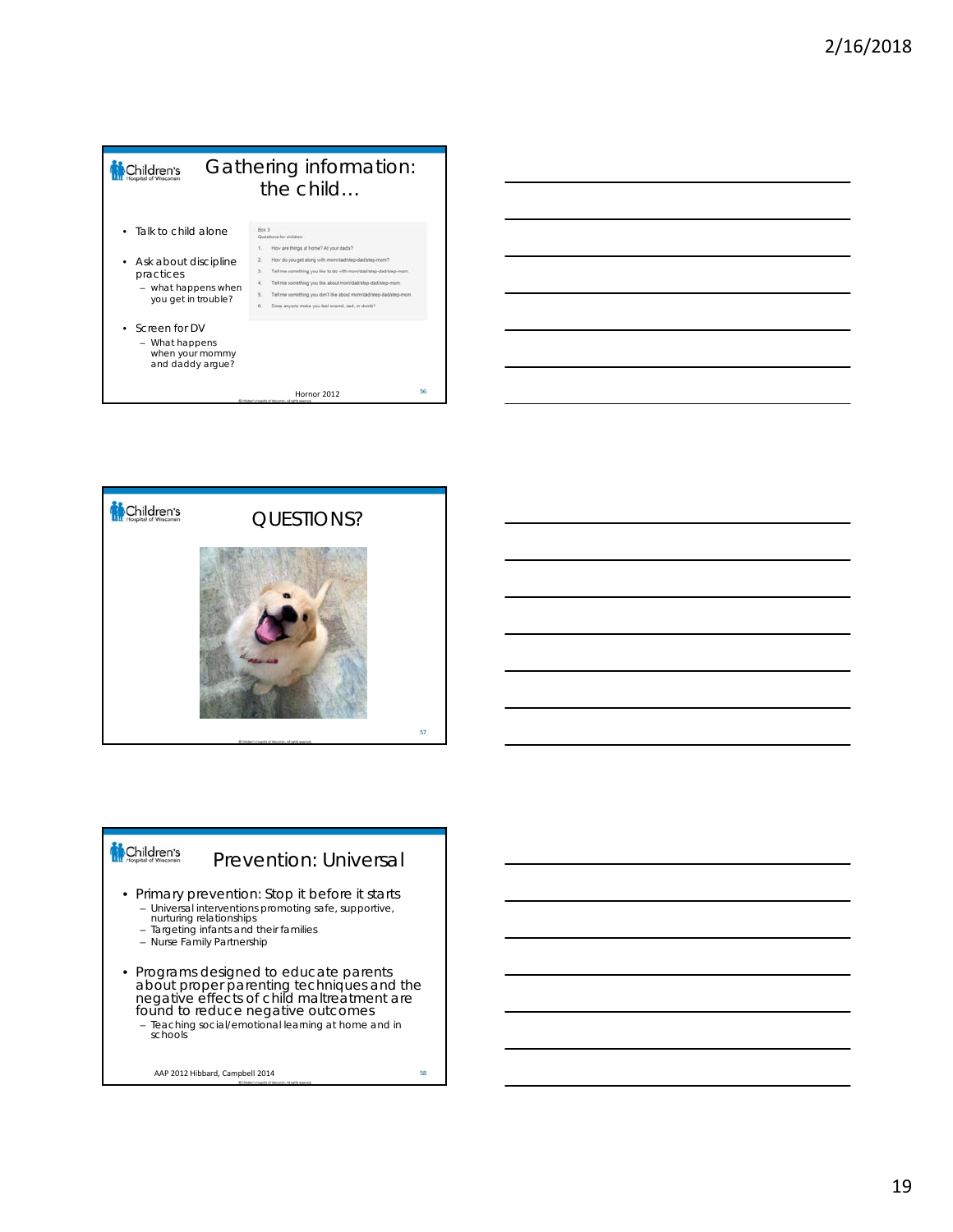![](_page_18_Figure_1.jpeg)

![](_page_18_Figure_2.jpeg)

![](_page_18_Picture_3.jpeg)

# Prevention: Universal

- Primary prevention: Stop it before it starts – Universal interventions promoting safe, supportive, nurturing relationships – Targeting infants and their families – Nurse Family Partnership
	-
	-
- Programs designed to educate parents about proper parenting techniques and the negative effects of child maltreatment are found to reduce negative outcomes – Teaching social/emotional learning at home and in schools

AAP 2012 Hibbard, Campbell 2014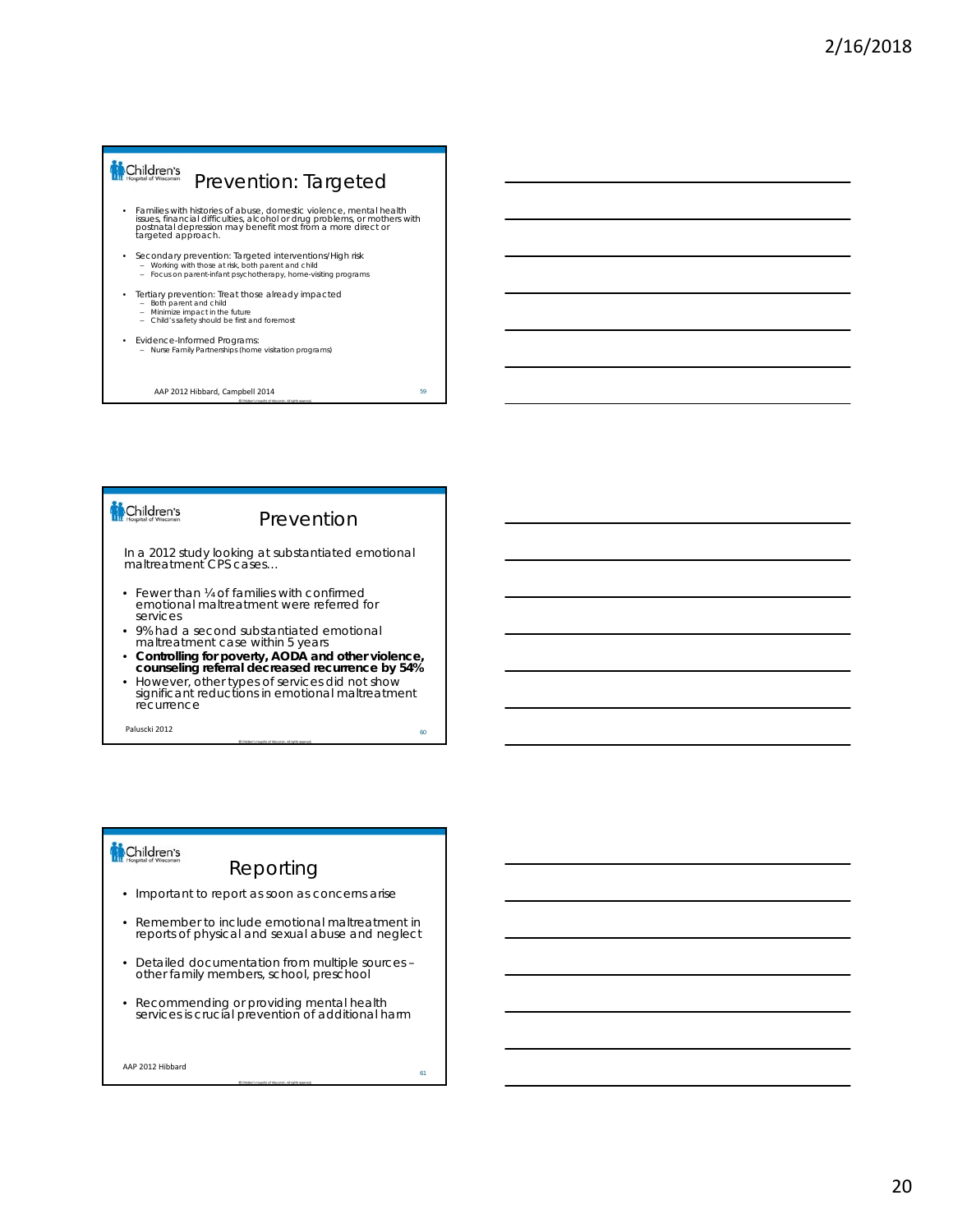![](_page_19_Figure_1.jpeg)

#### Prevention

In a 2012 study looking at substantiated emotional maltreatment CPS cases…

- Fewer than ¼ of families with confirmed emotional maltreatment were referred for services
- 9% had a second substantiated emotional maltreatment case within 5 years
- **Controlling for poverty, AODA and other violence, counseling referral decreased recurrence by 54%**
- However, other types of services did not show significant reductions in emotional maltreatment recurrence

Paluscki 2012 and the set of the set of the set of the set of the set of the set of the set of the set of the set of the set of the set of the set of the set of the set of the set of the set of the set of the set of the se

# Children's

# Reporting

- Important to report as soon as concerns arise
- Remember to include emotional maltreatment in reports of physical and sexual abuse and neglect
- Detailed documentation from multiple sources other family members, school, preschool
- Recommending or providing mental health services is crucial prevention of additional harm

AAP 2012 Hibbard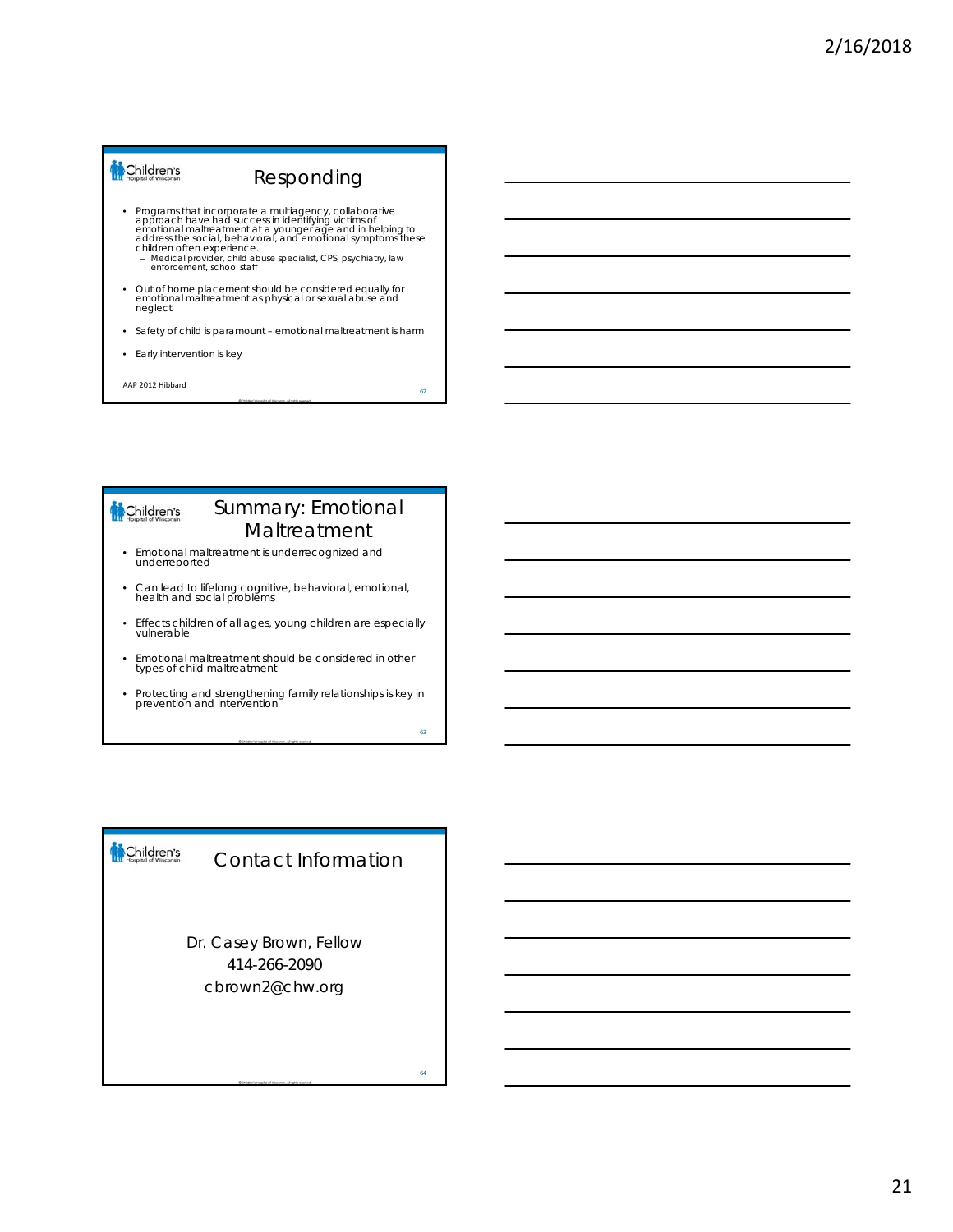#### Children's Responding

- Programs that incorporate a multilagency, collaborative<br>approach have had success in identifying victims of<br>emotional maltreatment at a younger age and in helping to<br>address the social, behavioral, and emotional symptoms
	-
- Out of home placement should be considered equally for emotional maltreatment as physical or sexual abuse and neglect
- Safety of child is paramount emotional maltreatment is harm
- Early intervention is key

AAP 2012 Hibbard

Children's

# Summary: Emotional Maltreatment

62

63

- Emotional maltreatment is underrecognized and underreported
- Can lead to lifelong cognitive, behavioral, emotional, health and social problems
- Effects children of all ages, young children are especially vulnerable
- Emotional maltreatment should be considered in other types of child maltreatment
- Protecting and strengthening family relationships is key in prevention and intervention

#### Children's Contact Information

Dr. Casey Brown, Fellow 414-266-2090 cbrown2@chw.org